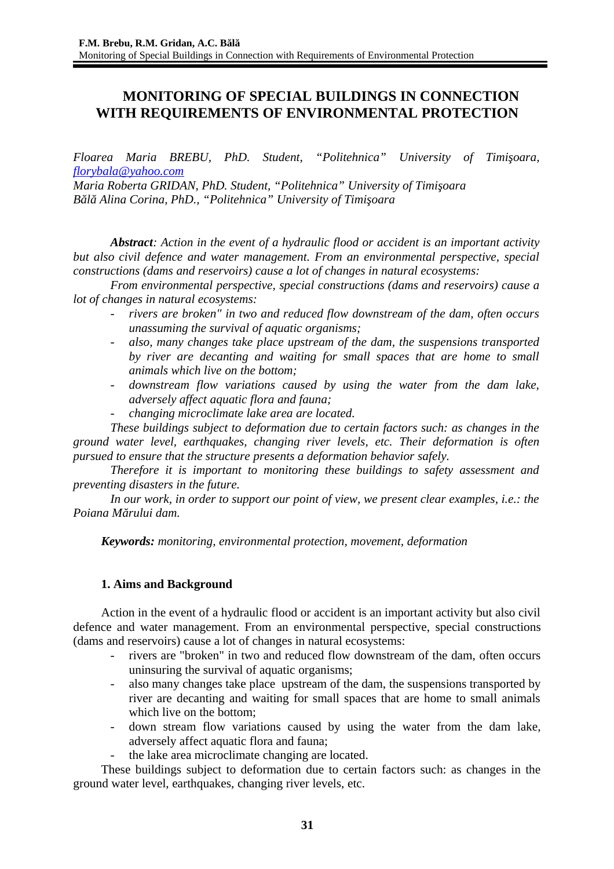# **MONITORING OF SPECIAL BUILDINGS IN CONNECTION WITH REQUIREMENTS OF ENVIRONMENTAL PROTECTION**

*Floarea Maria BREBU, PhD. Student, "Politehnica" University of Timişoara, [florybala@yahoo.com](mailto:florybala@yahoo.com)*

*Maria Roberta GRIDAN, PhD. Student, "Politehnica" University of Timişoara Bălă Alina Corina, PhD., "Politehnica" University of Timişoara*

*Abstract: Action in the event of a hydraulic flood or accident is an important activity but also civil defence and water management. From an environmental perspective, special constructions (dams and reservoirs) cause a lot of changes in natural ecosystems:* 

*From environmental perspective, special constructions (dams and reservoirs) cause a lot of changes in natural ecosystems:* 

- *rivers are broken" in two and reduced flow downstream of the dam, often occurs unassuming the survival of aquatic organisms;*
- *also, many changes take place upstream of the dam, the suspensions transported by river are decanting and waiting for small spaces that are home to small animals which live on the bottom;*
- *downstream flow variations caused by using the water from the dam lake, adversely affect aquatic flora and fauna;*
- *changing microclimate lake area are located.*

*These buildings subject to deformation due to certain factors such: as changes in the ground water level, earthquakes, changing river levels, etc. Their deformation is often pursued to ensure that the structure presents a deformation behavior safely.*

*Therefore it is important to monitoring these buildings to safety assessment and preventing disasters in the future.*

*In our work, in order to support our point of view, we present clear examples, i.e.: the Poiana Mărului dam.*

*Keywords: monitoring, environmental protection, movement, deformation*

## **1. Aims and Background**

Action in the event of a hydraulic flood or accident is an important activity but also civil defence and water management. From an environmental perspective, special constructions (dams and reservoirs) cause a lot of changes in natural ecosystems:

- rivers are "broken" in two and reduced flow downstream of the dam, often occurs uninsuring the survival of aquatic organisms;
- also many changes take place upstream of the dam, the suspensions transported by river are decanting and waiting for small spaces that are home to small animals which live on the bottom;
- down stream flow variations caused by using the water from the dam lake, adversely affect aquatic flora and fauna;
- the lake area microclimate changing are located.

These buildings subject to deformation due to certain factors such: as changes in the ground water level, earthquakes, changing river levels, etc.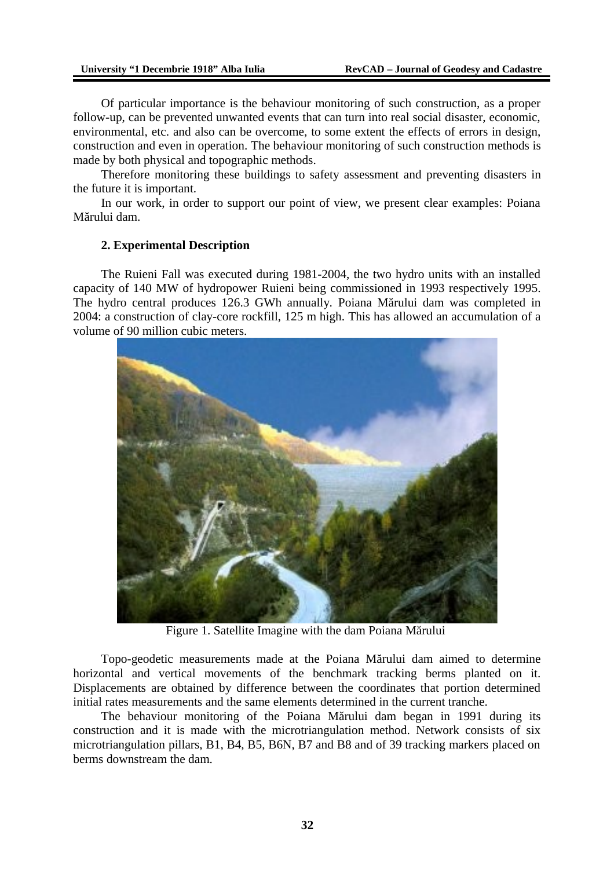Of particular importance is the behaviour monitoring of such construction, as a proper follow-up, can be prevented unwanted events that can turn into real social disaster, economic, environmental, etc. and also can be overcome, to some extent the effects of errors in design, construction and even in operation. The behaviour monitoring of such construction methods is made by both physical and topographic methods.

Therefore monitoring these buildings to safety assessment and preventing disasters in the future it is important.

In our work, in order to support our point of view, we present clear examples: Poiana Mărului dam.

#### **2. Experimental Description**

The Ruieni Fall was executed during 1981-2004, the two hydro units with an installed capacity of 140 MW of hydropower Ruieni being commissioned in 1993 respectively 1995. The hydro central produces 126.3 GWh annually. Poiana Mărului dam was completed in 2004: a construction of clay-core rockfill, 125 m high. This has allowed an accumulation of a volume of 90 million cubic meters.



Figure 1. Satellite Imagine with the dam Poiana Mărului

Topo-geodetic measurements made at the Poiana Mărului dam aimed to determine horizontal and vertical movements of the benchmark tracking berms planted on it. Displacements are obtained by difference between the coordinates that portion determined initial rates measurements and the same elements determined in the current tranche.

The behaviour monitoring of the Poiana Mărului dam began in 1991 during its construction and it is made with the microtriangulation method. Network consists of six microtriangulation pillars, B1, B4, B5, B6N, B7 and B8 and of 39 tracking markers placed on berms downstream the dam.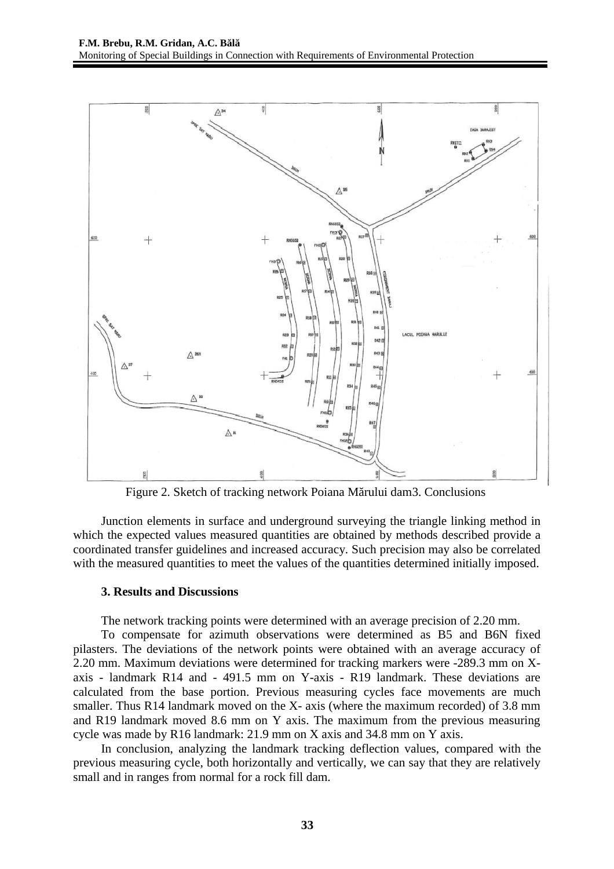

Figure 2. Sketch of tracking network Poiana Mărului dam3. Conclusions

Junction elements in surface and underground surveying the triangle linking method in which the expected values measured quantities are obtained by methods described provide a coordinated transfer guidelines and increased accuracy. Such precision may also be correlated with the measured quantities to meet the values of the quantities determined initially imposed.

### **3. Results and Discussions**

The network tracking points were determined with an average precision of 2.20 mm.

To compensate for azimuth observations were determined as B5 and B6N fixed pilasters. The deviations of the network points were obtained with an average accuracy of 2.20 mm. Maximum deviations were determined for tracking markers were -289.3 mm on Xaxis - landmark R14 and - 491.5 mm on Y-axis - R19 landmark. These deviations are calculated from the base portion. Previous measuring cycles face movements are much smaller. Thus R14 landmark moved on the X- axis (where the maximum recorded) of 3.8 mm and R19 landmark moved 8.6 mm on Y axis. The maximum from the previous measuring cycle was made by R16 landmark: 21.9 mm on X axis and 34.8 mm on Y axis.

In conclusion, analyzing the landmark tracking deflection values, compared with the previous measuring cycle, both horizontally and vertically, we can say that they are relatively small and in ranges from normal for a rock fill dam.